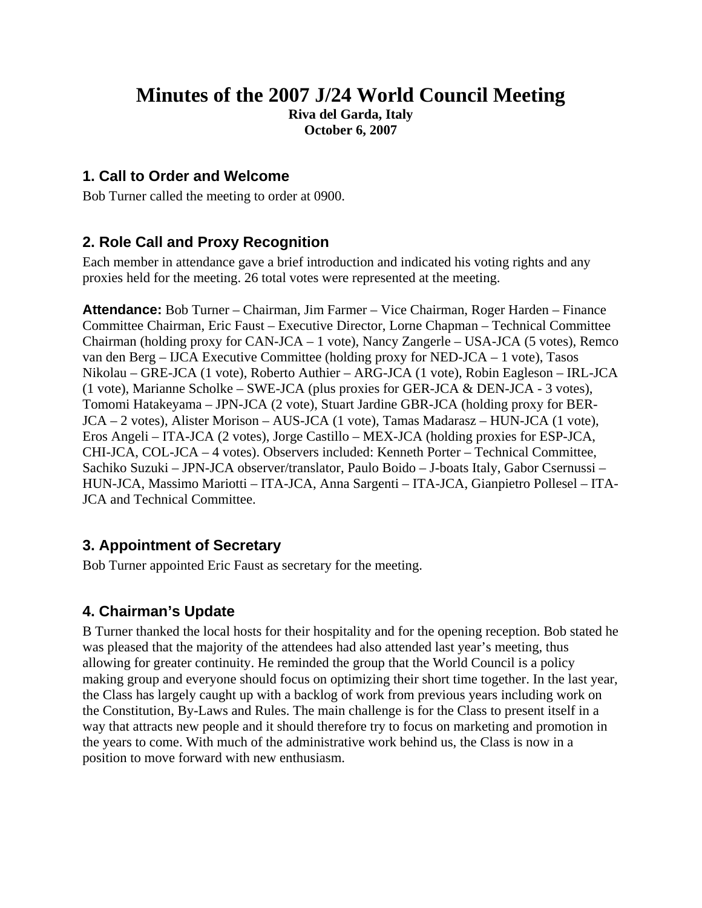# **Minutes of the 2007 J/24 World Council Meeting**

**Riva del Garda, Italy October 6, 2007** 

### **1. Call to Order and Welcome**

Bob Turner called the meeting to order at 0900.

### **2. Role Call and Proxy Recognition**

Each member in attendance gave a brief introduction and indicated his voting rights and any proxies held for the meeting. 26 total votes were represented at the meeting.

**Attendance:** Bob Turner – Chairman, Jim Farmer – Vice Chairman, Roger Harden – Finance Committee Chairman, Eric Faust – Executive Director, Lorne Chapman – Technical Committee Chairman (holding proxy for CAN-JCA – 1 vote), Nancy Zangerle – USA-JCA (5 votes), Remco van den Berg – IJCA Executive Committee (holding proxy for NED-JCA – 1 vote), Tasos Nikolau – GRE-JCA (1 vote), Roberto Authier – ARG-JCA (1 vote), Robin Eagleson – IRL-JCA (1 vote), Marianne Scholke – SWE-JCA (plus proxies for GER-JCA & DEN-JCA - 3 votes), Tomomi Hatakeyama – JPN-JCA (2 vote), Stuart Jardine GBR-JCA (holding proxy for BER-JCA – 2 votes), Alister Morison – AUS-JCA (1 vote), Tamas Madarasz – HUN-JCA (1 vote), Eros Angeli – ITA-JCA (2 votes), Jorge Castillo – MEX-JCA (holding proxies for ESP-JCA, CHI-JCA, COL-JCA – 4 votes). Observers included: Kenneth Porter – Technical Committee, Sachiko Suzuki – JPN-JCA observer/translator, Paulo Boido – J-boats Italy, Gabor Csernussi – HUN-JCA, Massimo Mariotti – ITA-JCA, Anna Sargenti – ITA-JCA, Gianpietro Pollesel – ITA-JCA and Technical Committee.

### **3. Appointment of Secretary**

Bob Turner appointed Eric Faust as secretary for the meeting.

# **4. Chairman's Update**

B Turner thanked the local hosts for their hospitality and for the opening reception. Bob stated he was pleased that the majority of the attendees had also attended last year's meeting, thus allowing for greater continuity. He reminded the group that the World Council is a policy making group and everyone should focus on optimizing their short time together. In the last year, the Class has largely caught up with a backlog of work from previous years including work on the Constitution, By-Laws and Rules. The main challenge is for the Class to present itself in a way that attracts new people and it should therefore try to focus on marketing and promotion in the years to come. With much of the administrative work behind us, the Class is now in a position to move forward with new enthusiasm.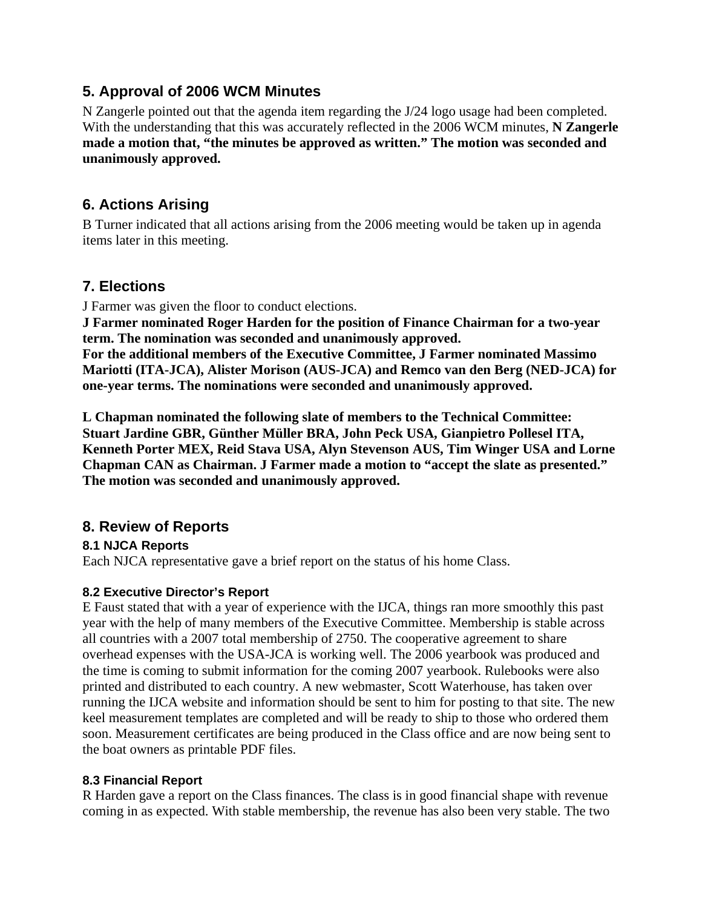### **5. Approval of 2006 WCM Minutes**

N Zangerle pointed out that the agenda item regarding the J/24 logo usage had been completed. With the understanding that this was accurately reflected in the 2006 WCM minutes, **N Zangerle made a motion that, "the minutes be approved as written." The motion was seconded and unanimously approved.** 

### **6. Actions Arising**

B Turner indicated that all actions arising from the 2006 meeting would be taken up in agenda items later in this meeting.

### **7. Elections**

J Farmer was given the floor to conduct elections.

**J Farmer nominated Roger Harden for the position of Finance Chairman for a two-year term. The nomination was seconded and unanimously approved. For the additional members of the Executive Committee, J Farmer nominated Massimo Mariotti (ITA-JCA), Alister Morison (AUS-JCA) and Remco van den Berg (NED-JCA) for one-year terms. The nominations were seconded and unanimously approved.** 

**L Chapman nominated the following slate of members to the Technical Committee: Stuart Jardine GBR, Günther Müller BRA, John Peck USA, Gianpietro Pollesel ITA, Kenneth Porter MEX, Reid Stava USA, Alyn Stevenson AUS, Tim Winger USA and Lorne Chapman CAN as Chairman. J Farmer made a motion to "accept the slate as presented." The motion was seconded and unanimously approved.** 

### **8. Review of Reports**

### **8.1 NJCA Reports**

Each NJCA representative gave a brief report on the status of his home Class.

#### **8.2 Executive Director's Report**

E Faust stated that with a year of experience with the IJCA, things ran more smoothly this past year with the help of many members of the Executive Committee. Membership is stable across all countries with a 2007 total membership of 2750. The cooperative agreement to share overhead expenses with the USA-JCA is working well. The 2006 yearbook was produced and the time is coming to submit information for the coming 2007 yearbook. Rulebooks were also printed and distributed to each country. A new webmaster, Scott Waterhouse, has taken over running the IJCA website and information should be sent to him for posting to that site. The new keel measurement templates are completed and will be ready to ship to those who ordered them soon. Measurement certificates are being produced in the Class office and are now being sent to the boat owners as printable PDF files.

#### **8.3 Financial Report**

R Harden gave a report on the Class finances. The class is in good financial shape with revenue coming in as expected. With stable membership, the revenue has also been very stable. The two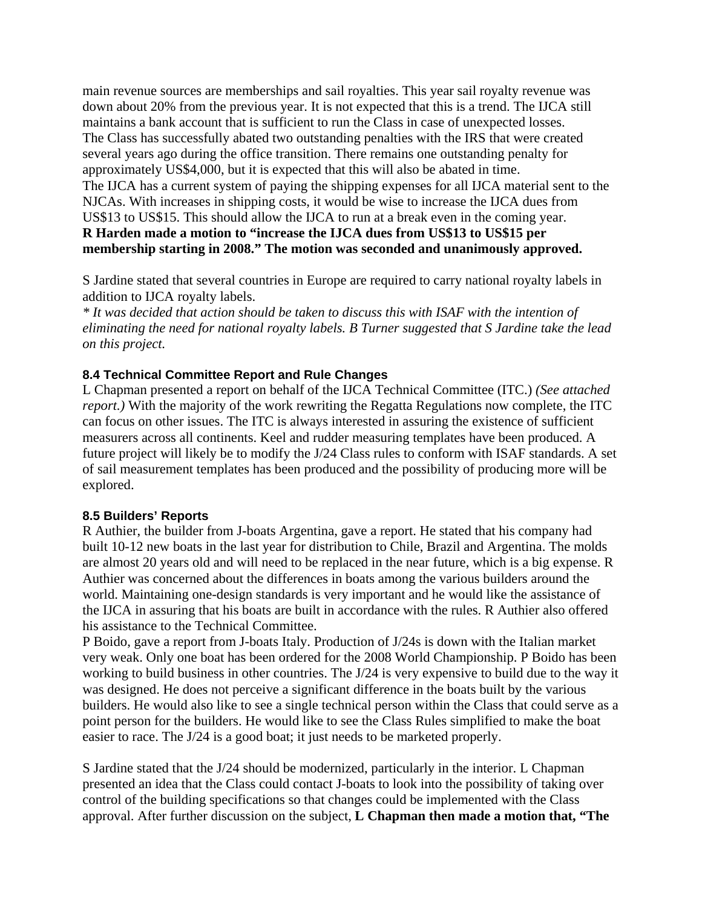main revenue sources are memberships and sail royalties. This year sail royalty revenue was down about 20% from the previous year. It is not expected that this is a trend. The IJCA still maintains a bank account that is sufficient to run the Class in case of unexpected losses. The Class has successfully abated two outstanding penalties with the IRS that were created several years ago during the office transition. There remains one outstanding penalty for approximately US\$4,000, but it is expected that this will also be abated in time. The IJCA has a current system of paying the shipping expenses for all IJCA material sent to the NJCAs. With increases in shipping costs, it would be wise to increase the IJCA dues from US\$13 to US\$15. This should allow the IJCA to run at a break even in the coming year. **R Harden made a motion to "increase the IJCA dues from US\$13 to US\$15 per membership starting in 2008." The motion was seconded and unanimously approved.** 

S Jardine stated that several countries in Europe are required to carry national royalty labels in addition to IJCA royalty labels.

*\* It was decided that action should be taken to discuss this with ISAF with the intention of eliminating the need for national royalty labels. B Turner suggested that S Jardine take the lead on this project.*

#### **8.4 Technical Committee Report and Rule Changes**

L Chapman presented a report on behalf of the IJCA Technical Committee (ITC.) *(See attached report.*) With the majority of the work rewriting the Regatta Regulations now complete, the ITC can focus on other issues. The ITC is always interested in assuring the existence of sufficient measurers across all continents. Keel and rudder measuring templates have been produced. A future project will likely be to modify the J/24 Class rules to conform with ISAF standards. A set of sail measurement templates has been produced and the possibility of producing more will be explored.

#### **8.5 Builders' Reports**

R Authier, the builder from J-boats Argentina, gave a report. He stated that his company had built 10-12 new boats in the last year for distribution to Chile, Brazil and Argentina. The molds are almost 20 years old and will need to be replaced in the near future, which is a big expense. R Authier was concerned about the differences in boats among the various builders around the world. Maintaining one-design standards is very important and he would like the assistance of the IJCA in assuring that his boats are built in accordance with the rules. R Authier also offered his assistance to the Technical Committee.

P Boido, gave a report from J-boats Italy. Production of J/24s is down with the Italian market very weak. Only one boat has been ordered for the 2008 World Championship. P Boido has been working to build business in other countries. The J/24 is very expensive to build due to the way it was designed. He does not perceive a significant difference in the boats built by the various builders. He would also like to see a single technical person within the Class that could serve as a point person for the builders. He would like to see the Class Rules simplified to make the boat easier to race. The J/24 is a good boat; it just needs to be marketed properly.

S Jardine stated that the J/24 should be modernized, particularly in the interior. L Chapman presented an idea that the Class could contact J-boats to look into the possibility of taking over control of the building specifications so that changes could be implemented with the Class approval. After further discussion on the subject, **L Chapman then made a motion that, "The**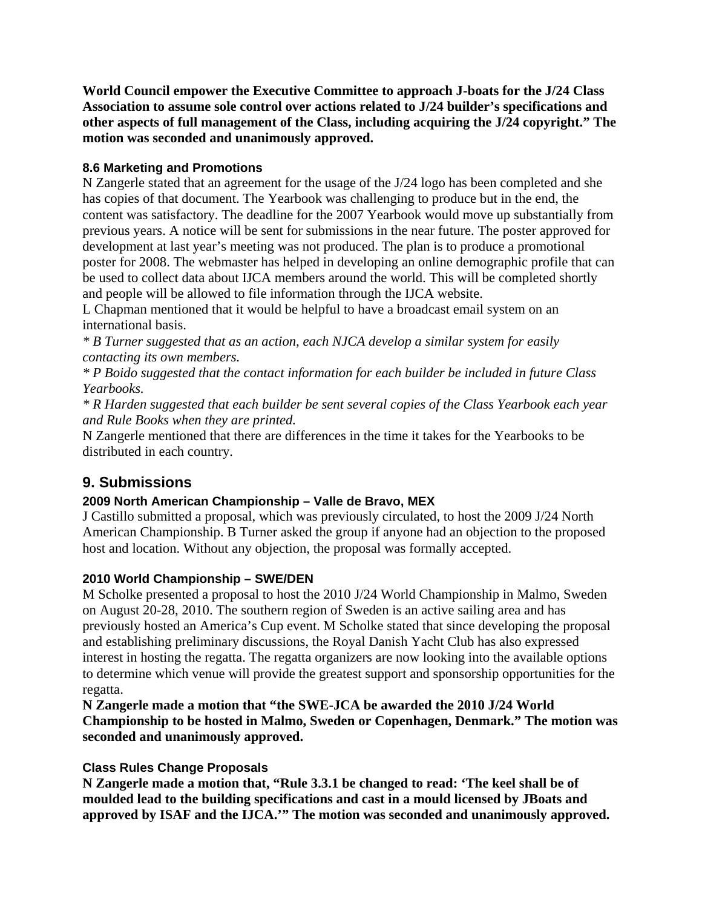**World Council empower the Executive Committee to approach J-boats for the J/24 Class Association to assume sole control over actions related to J/24 builder's specifications and other aspects of full management of the Class, including acquiring the J/24 copyright." The motion was seconded and unanimously approved.** 

#### **8.6 Marketing and Promotions**

N Zangerle stated that an agreement for the usage of the J/24 logo has been completed and she has copies of that document. The Yearbook was challenging to produce but in the end, the content was satisfactory. The deadline for the 2007 Yearbook would move up substantially from previous years. A notice will be sent for submissions in the near future. The poster approved for development at last year's meeting was not produced. The plan is to produce a promotional poster for 2008. The webmaster has helped in developing an online demographic profile that can be used to collect data about IJCA members around the world. This will be completed shortly and people will be allowed to file information through the IJCA website.

L Chapman mentioned that it would be helpful to have a broadcast email system on an international basis.

*\* B Turner suggested that as an action, each NJCA develop a similar system for easily contacting its own members.*

*\* P Boido suggested that the contact information for each builder be included in future Class Yearbooks.* 

*\* R Harden suggested that each builder be sent several copies of the Class Yearbook each year and Rule Books when they are printed.* 

N Zangerle mentioned that there are differences in the time it takes for the Yearbooks to be distributed in each country.

# **9. Submissions**

### **2009 North American Championship – Valle de Bravo, MEX**

J Castillo submitted a proposal, which was previously circulated, to host the 2009 J/24 North American Championship. B Turner asked the group if anyone had an objection to the proposed host and location. Without any objection, the proposal was formally accepted.

#### **2010 World Championship – SWE/DEN**

M Scholke presented a proposal to host the 2010 J/24 World Championship in Malmo, Sweden on August 20-28, 2010. The southern region of Sweden is an active sailing area and has previously hosted an America's Cup event. M Scholke stated that since developing the proposal and establishing preliminary discussions, the Royal Danish Yacht Club has also expressed interest in hosting the regatta. The regatta organizers are now looking into the available options to determine which venue will provide the greatest support and sponsorship opportunities for the regatta.

**N Zangerle made a motion that "the SWE-JCA be awarded the 2010 J/24 World Championship to be hosted in Malmo, Sweden or Copenhagen, Denmark." The motion was seconded and unanimously approved.** 

#### **Class Rules Change Proposals**

**N Zangerle made a motion that, "Rule 3.3.1 be changed to read: 'The keel shall be of moulded lead to the building specifications and cast in a mould licensed by JBoats and approved by ISAF and the IJCA.'" The motion was seconded and unanimously approved.**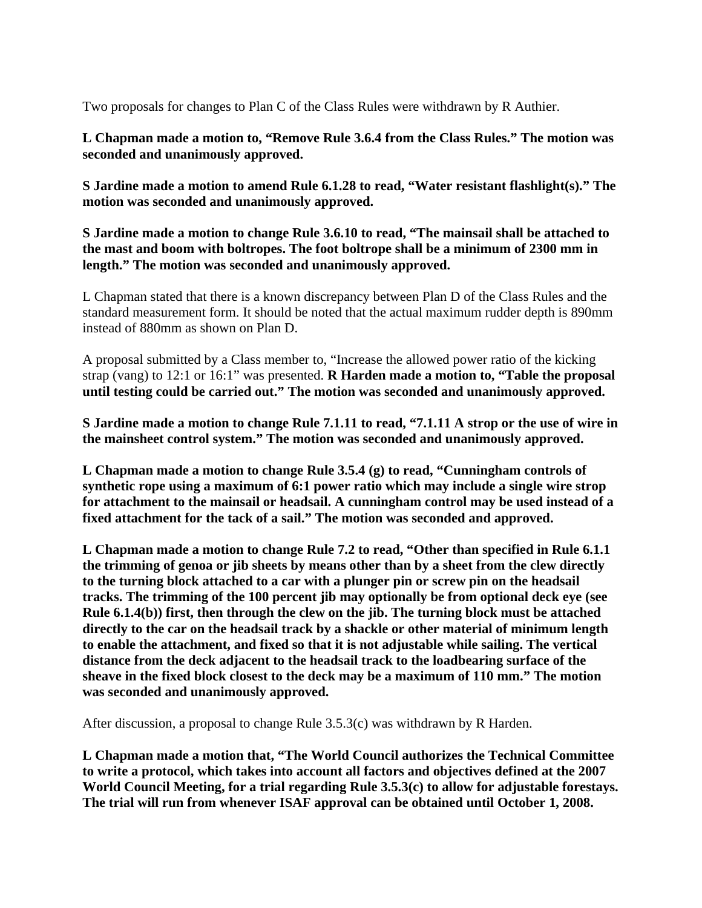Two proposals for changes to Plan C of the Class Rules were withdrawn by R Authier.

**L Chapman made a motion to, "Remove Rule 3.6.4 from the Class Rules." The motion was seconded and unanimously approved.** 

**S Jardine made a motion to amend Rule 6.1.28 to read, "Water resistant flashlight(s)." The motion was seconded and unanimously approved.** 

**S Jardine made a motion to change Rule 3.6.10 to read, "The mainsail shall be attached to the mast and boom with boltropes. The foot boltrope shall be a minimum of 2300 mm in length." The motion was seconded and unanimously approved.** 

L Chapman stated that there is a known discrepancy between Plan D of the Class Rules and the standard measurement form. It should be noted that the actual maximum rudder depth is 890mm instead of 880mm as shown on Plan D.

A proposal submitted by a Class member to, "Increase the allowed power ratio of the kicking strap (vang) to 12:1 or 16:1" was presented. **R Harden made a motion to, "Table the proposal until testing could be carried out." The motion was seconded and unanimously approved.**

**S Jardine made a motion to change Rule 7.1.11 to read, "7.1.11 A strop or the use of wire in the mainsheet control system." The motion was seconded and unanimously approved.** 

**L Chapman made a motion to change Rule 3.5.4 (g) to read, "Cunningham controls of synthetic rope using a maximum of 6:1 power ratio which may include a single wire strop for attachment to the mainsail or headsail. A cunningham control may be used instead of a fixed attachment for the tack of a sail." The motion was seconded and approved.** 

**L Chapman made a motion to change Rule 7.2 to read, "Other than specified in Rule 6.1.1 the trimming of genoa or jib sheets by means other than by a sheet from the clew directly to the turning block attached to a car with a plunger pin or screw pin on the headsail tracks. The trimming of the 100 percent jib may optionally be from optional deck eye (see Rule 6.1.4(b)) first, then through the clew on the jib. The turning block must be attached directly to the car on the headsail track by a shackle or other material of minimum length to enable the attachment, and fixed so that it is not adjustable while sailing. The vertical distance from the deck adjacent to the headsail track to the loadbearing surface of the sheave in the fixed block closest to the deck may be a maximum of 110 mm." The motion was seconded and unanimously approved.** 

After discussion, a proposal to change Rule 3.5.3(c) was withdrawn by R Harden.

**L Chapman made a motion that, "The World Council authorizes the Technical Committee to write a protocol, which takes into account all factors and objectives defined at the 2007 World Council Meeting, for a trial regarding Rule 3.5.3(c) to allow for adjustable forestays. The trial will run from whenever ISAF approval can be obtained until October 1, 2008.**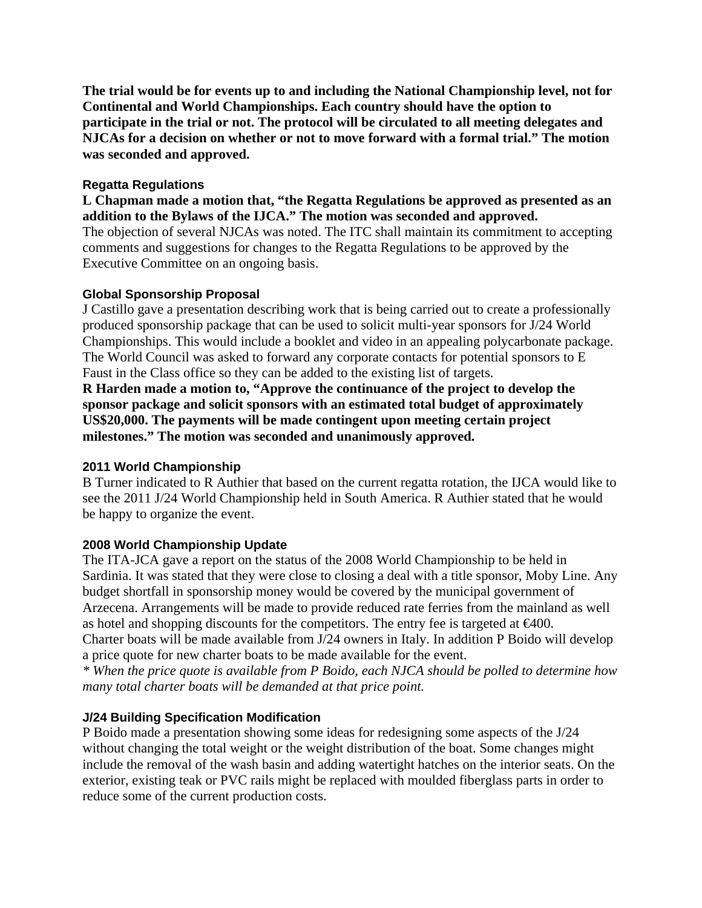**The trial would be for events up to and including the National Championship level, not for Continental and World Championships. Each country should have the option to participate in the trial or not. The protocol will be circulated to all meeting delegates and NJCAs for a decision on whether or not to move forward with a formal trial." The motion was seconded and approved.** 

#### **Regatta Regulations**

**L Chapman made a motion that, "the Regatta Regulations be approved as presented as an addition to the Bylaws of the IJCA." The motion was seconded and approved.**  The objection of several NJCAs was noted. The ITC shall maintain its commitment to accepting comments and suggestions for changes to the Regatta Regulations to be approved by the Executive Committee on an ongoing basis.

#### **Global Sponsorship Proposal**

J Castillo gave a presentation describing work that is being carried out to create a professionally produced sponsorship package that can be used to solicit multi-year sponsors for J/24 World Championships. This would include a booklet and video in an appealing polycarbonate package. The World Council was asked to forward any corporate contacts for potential sponsors to E Faust in the Class office so they can be added to the existing list of targets.

**R Harden made a motion to, "Approve the continuance of the project to develop the sponsor package and solicit sponsors with an estimated total budget of approximately US\$20,000. The payments will be made contingent upon meeting certain project milestones." The motion was seconded and unanimously approved.** 

#### **2011 World Championship**

B Turner indicated to R Authier that based on the current regatta rotation, the IJCA would like to see the 2011 J/24 World Championship held in South America. R Authier stated that he would be happy to organize the event.

#### **2008 World Championship Update**

The ITA-JCA gave a report on the status of the 2008 World Championship to be held in Sardinia. It was stated that they were close to closing a deal with a title sponsor, Moby Line. Any budget shortfall in sponsorship money would be covered by the municipal government of Arzecena. Arrangements will be made to provide reduced rate ferries from the mainland as well as hotel and shopping discounts for the competitors. The entry fee is targeted at  $\epsilon 400$ . Charter boats will be made available from J/24 owners in Italy. In addition P Boido will develop a price quote for new charter boats to be made available for the event.

*\* When the price quote is available from P Boido, each NJCA should be polled to determine how many total charter boats will be demanded at that price point.* 

#### **J/24 Building Specification Modification**

P Boido made a presentation showing some ideas for redesigning some aspects of the J/24 without changing the total weight or the weight distribution of the boat. Some changes might include the removal of the wash basin and adding watertight hatches on the interior seats. On the exterior, existing teak or PVC rails might be replaced with moulded fiberglass parts in order to reduce some of the current production costs.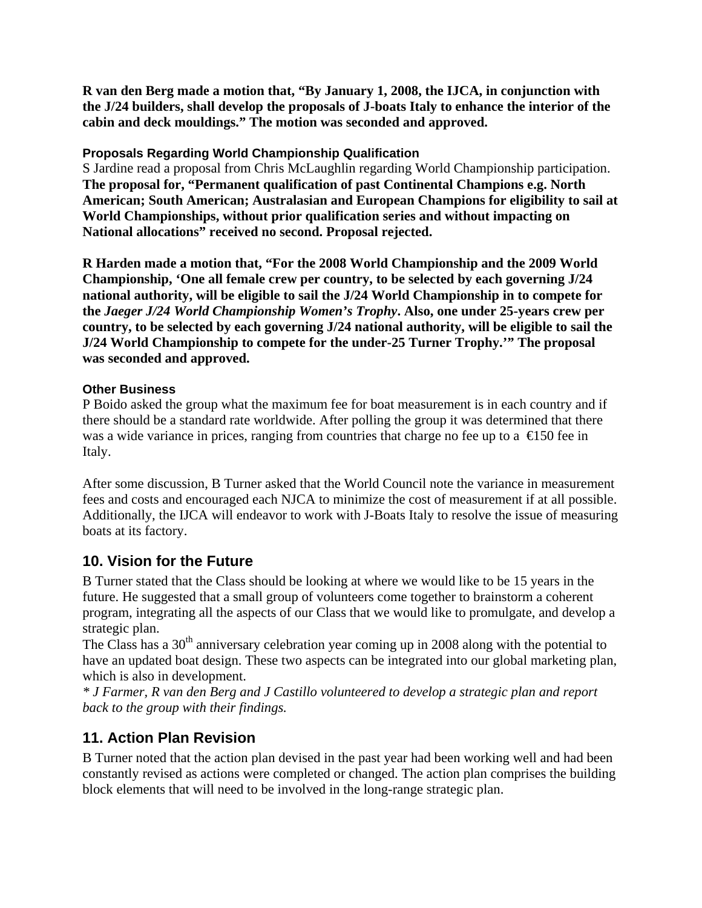**R van den Berg made a motion that, "By January 1, 2008, the IJCA, in conjunction with the J/24 builders, shall develop the proposals of J-boats Italy to enhance the interior of the cabin and deck mouldings." The motion was seconded and approved.** 

#### **Proposals Regarding World Championship Qualification**

S Jardine read a proposal from Chris McLaughlin regarding World Championship participation. **The proposal for, "Permanent qualification of past Continental Champions e.g. North American; South American; Australasian and European Champions for eligibility to sail at World Championships, without prior qualification series and without impacting on National allocations" received no second. Proposal rejected.** 

**R Harden made a motion that, "For the 2008 World Championship and the 2009 World Championship, 'One all female crew per country, to be selected by each governing J/24 national authority, will be eligible to sail the J/24 World Championship in to compete for the** *Jaeger J/24 World Championship Women's Trophy***. Also, one under 25-years crew per country, to be selected by each governing J/24 national authority, will be eligible to sail the J/24 World Championship to compete for the under-25 Turner Trophy.'" The proposal was seconded and approved.** 

#### **Other Business**

P Boido asked the group what the maximum fee for boat measurement is in each country and if there should be a standard rate worldwide. After polling the group it was determined that there was a wide variance in prices, ranging from countries that charge no fee up to a  $\in$  50 fee in Italy.

After some discussion, B Turner asked that the World Council note the variance in measurement fees and costs and encouraged each NJCA to minimize the cost of measurement if at all possible. Additionally, the IJCA will endeavor to work with J-Boats Italy to resolve the issue of measuring boats at its factory.

### **10. Vision for the Future**

B Turner stated that the Class should be looking at where we would like to be 15 years in the future. He suggested that a small group of volunteers come together to brainstorm a coherent program, integrating all the aspects of our Class that we would like to promulgate, and develop a strategic plan.

The Class has a  $30<sup>th</sup>$  anniversary celebration year coming up in 2008 along with the potential to have an updated boat design. These two aspects can be integrated into our global marketing plan, which is also in development.

*\* J Farmer, R van den Berg and J Castillo volunteered to develop a strategic plan and report back to the group with their findings.* 

### **11. Action Plan Revision**

B Turner noted that the action plan devised in the past year had been working well and had been constantly revised as actions were completed or changed. The action plan comprises the building block elements that will need to be involved in the long-range strategic plan.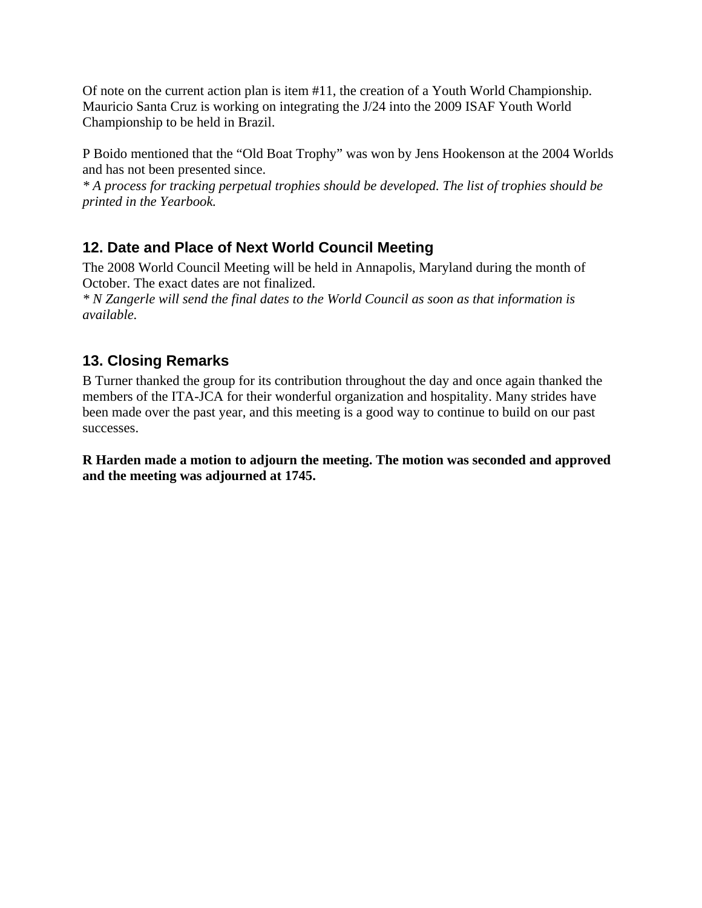Of note on the current action plan is item #11, the creation of a Youth World Championship. Mauricio Santa Cruz is working on integrating the J/24 into the 2009 ISAF Youth World Championship to be held in Brazil.

P Boido mentioned that the "Old Boat Trophy" was won by Jens Hookenson at the 2004 Worlds and has not been presented since.

*\* A process for tracking perpetual trophies should be developed. The list of trophies should be printed in the Yearbook.* 

# **12. Date and Place of Next World Council Meeting**

The 2008 World Council Meeting will be held in Annapolis, Maryland during the month of October. The exact dates are not finalized.

*\* N Zangerle will send the final dates to the World Council as soon as that information is available.* 

# **13. Closing Remarks**

B Turner thanked the group for its contribution throughout the day and once again thanked the members of the ITA-JCA for their wonderful organization and hospitality. Many strides have been made over the past year, and this meeting is a good way to continue to build on our past successes.

**R Harden made a motion to adjourn the meeting. The motion was seconded and approved and the meeting was adjourned at 1745.**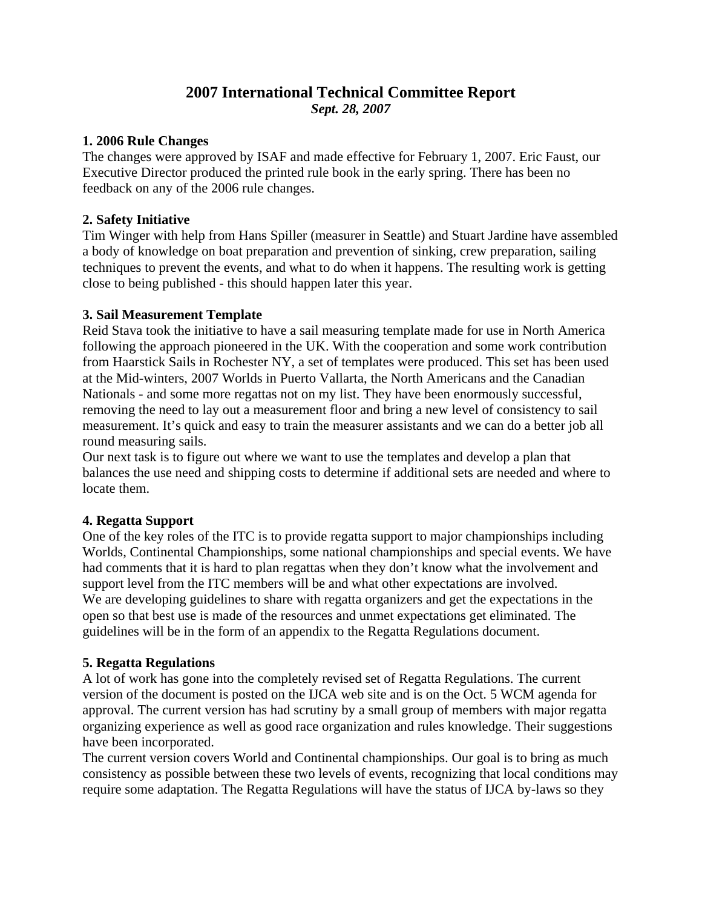### **2007 International Technical Committee Report**  *Sept. 28, 2007*

#### **1. 2006 Rule Changes**

The changes were approved by ISAF and made effective for February 1, 2007. Eric Faust, our Executive Director produced the printed rule book in the early spring. There has been no feedback on any of the 2006 rule changes.

#### **2. Safety Initiative**

Tim Winger with help from Hans Spiller (measurer in Seattle) and Stuart Jardine have assembled a body of knowledge on boat preparation and prevention of sinking, crew preparation, sailing techniques to prevent the events, and what to do when it happens. The resulting work is getting close to being published - this should happen later this year.

#### **3. Sail Measurement Template**

Reid Stava took the initiative to have a sail measuring template made for use in North America following the approach pioneered in the UK. With the cooperation and some work contribution from Haarstick Sails in Rochester NY, a set of templates were produced. This set has been used at the Mid-winters, 2007 Worlds in Puerto Vallarta, the North Americans and the Canadian Nationals - and some more regattas not on my list. They have been enormously successful, removing the need to lay out a measurement floor and bring a new level of consistency to sail measurement. It's quick and easy to train the measurer assistants and we can do a better job all round measuring sails.

Our next task is to figure out where we want to use the templates and develop a plan that balances the use need and shipping costs to determine if additional sets are needed and where to locate them.

#### **4. Regatta Support**

One of the key roles of the ITC is to provide regatta support to major championships including Worlds, Continental Championships, some national championships and special events. We have had comments that it is hard to plan regattas when they don't know what the involvement and support level from the ITC members will be and what other expectations are involved. We are developing guidelines to share with regatta organizers and get the expectations in the open so that best use is made of the resources and unmet expectations get eliminated. The guidelines will be in the form of an appendix to the Regatta Regulations document.

#### **5. Regatta Regulations**

A lot of work has gone into the completely revised set of Regatta Regulations. The current version of the document is posted on the IJCA web site and is on the Oct. 5 WCM agenda for approval. The current version has had scrutiny by a small group of members with major regatta organizing experience as well as good race organization and rules knowledge. Their suggestions have been incorporated.

The current version covers World and Continental championships. Our goal is to bring as much consistency as possible between these two levels of events, recognizing that local conditions may require some adaptation. The Regatta Regulations will have the status of IJCA by-laws so they